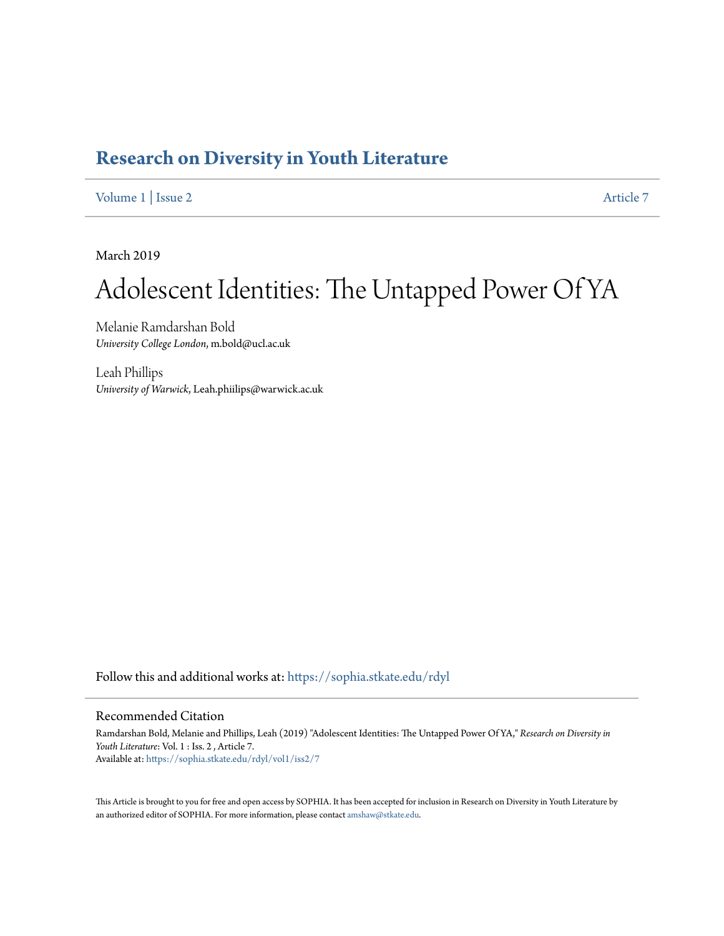## **[Research on Diversity in Youth Literature](https://sophia.stkate.edu/rdyl?utm_source=sophia.stkate.edu%2Frdyl%2Fvol1%2Fiss2%2F7&utm_medium=PDF&utm_campaign=PDFCoverPages)**

[Volume 1](https://sophia.stkate.edu/rdyl/vol1?utm_source=sophia.stkate.edu%2Frdyl%2Fvol1%2Fiss2%2F7&utm_medium=PDF&utm_campaign=PDFCoverPages) | [Issue 2](https://sophia.stkate.edu/rdyl/vol1/iss2?utm_source=sophia.stkate.edu%2Frdyl%2Fvol1%2Fiss2%2F7&utm_medium=PDF&utm_campaign=PDFCoverPages) [Article 7](https://sophia.stkate.edu/rdyl/vol1/iss2/7?utm_source=sophia.stkate.edu%2Frdyl%2Fvol1%2Fiss2%2F7&utm_medium=PDF&utm_campaign=PDFCoverPages)

March 2019

## Adolescent Identities: The Untapped Power Of YA

Melanie Ramdarshan Bold *University College London*, m.bold@ucl.ac.uk

Leah Phillips *University of Warwick*, Leah.phiilips@warwick.ac.uk

Follow this and additional works at: [https://sophia.stkate.edu/rdyl](https://sophia.stkate.edu/rdyl?utm_source=sophia.stkate.edu%2Frdyl%2Fvol1%2Fiss2%2F7&utm_medium=PDF&utm_campaign=PDFCoverPages)

## Recommended Citation

Ramdarshan Bold, Melanie and Phillips, Leah (2019) "Adolescent Identities: The Untapped Power Of YA," *Research on Diversity in Youth Literature*: Vol. 1 : Iss. 2 , Article 7. Available at: [https://sophia.stkate.edu/rdyl/vol1/iss2/7](https://sophia.stkate.edu/rdyl/vol1/iss2/7?utm_source=sophia.stkate.edu%2Frdyl%2Fvol1%2Fiss2%2F7&utm_medium=PDF&utm_campaign=PDFCoverPages)

This Article is brought to you for free and open access by SOPHIA. It has been accepted for inclusion in Research on Diversity in Youth Literature by an authorized editor of SOPHIA. For more information, please contact [amshaw@stkate.edu.](mailto:amshaw@stkate.edu)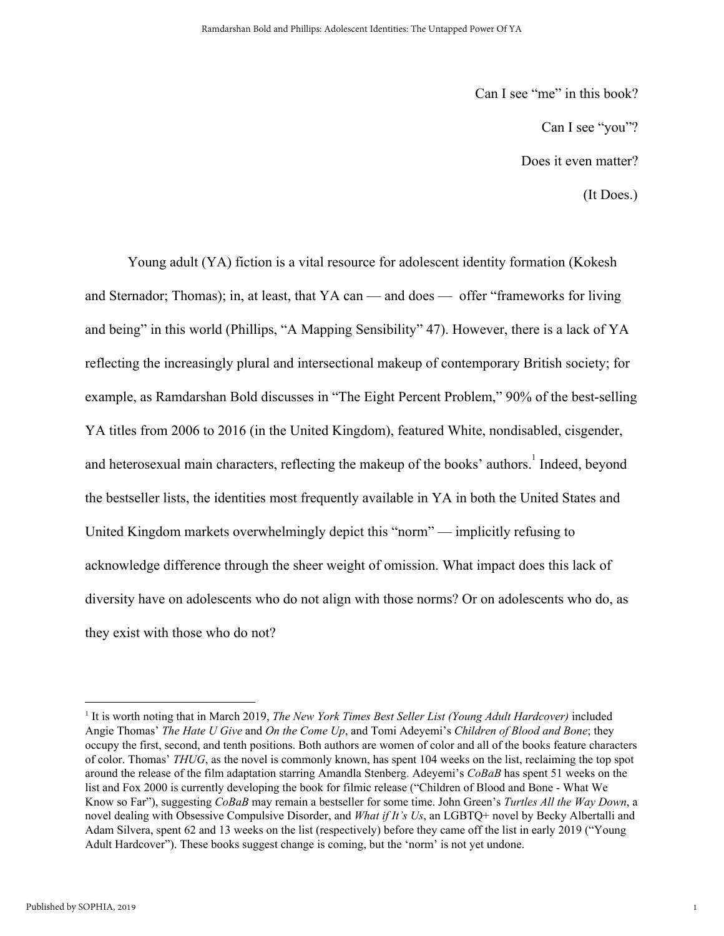Can I see "me" in this book? Can I see "you"? Does it even matter? (It Does.)

1

Young adult (YA) fiction is a vital resource for adolescent identity formation (Kokesh and Sternador; Thomas); in, at least, that YA can — and does — offer "frameworks for living and being" in this world (Phillips, "A Mapping Sensibility" 47). However, there is a lack of YA reflecting the increasingly plural and intersectional makeup of contemporary British society; for example, as Ramdarshan Bold discusses in "The Eight Percent Problem," 90% of the best-selling YA titles from 2006 to 2016 (in the United Kingdom), featured White, nondisabled, cisgender, and heterosexual main characters, reflecting the makeup of the books' authors.<sup>1</sup> Indeed, beyond the bestseller lists, the identities most frequently available in YA in both the United States and United Kingdom markets overwhelmingly depict this "norm" — implicitly refusing to acknowledge difference through the sheer weight of omission. What impact does this lack of diversity have on adolescents who do not align with those norms? Or on adolescents who do, as they exist with those who do not?

<sup>1</sup> It is worth noting that in March 2019, *The New York Times Best Seller List (Young Adult Hardcover)* included Angie Thomas' *The Hate U Give* and *On the Come Up*, and Tomi Adeyemi's *Children of Blood and Bone*; they occupy the first, second, and tenth positions. Both authors are women of color and all of the books feature characters of color. Thomas' *THUG*, as the novel is commonly known, has spent 104 weeks on the list, reclaiming the top spot around the release of the film adaptation starring Amandla Stenberg. Adeyemi's *CoBaB* has spent 51 weeks on the list and Fox 2000 is currently developing the book for filmic release ("Children of Blood and Bone - What We Know so Far"), suggesting *CoBaB* may remain a bestseller for some time. John Green's *Turtles All the Way Down*, a novel dealing with Obsessive Compulsive Disorder, and *What if It's Us*, an LGBTQ+ novel by Becky Albertalli and Adam Silvera, spent 62 and 13 weeks on the list (respectively) before they came off the list in early 2019 ("Young Adult Hardcover"). These books suggest change is coming, but the 'norm' is not yet undone.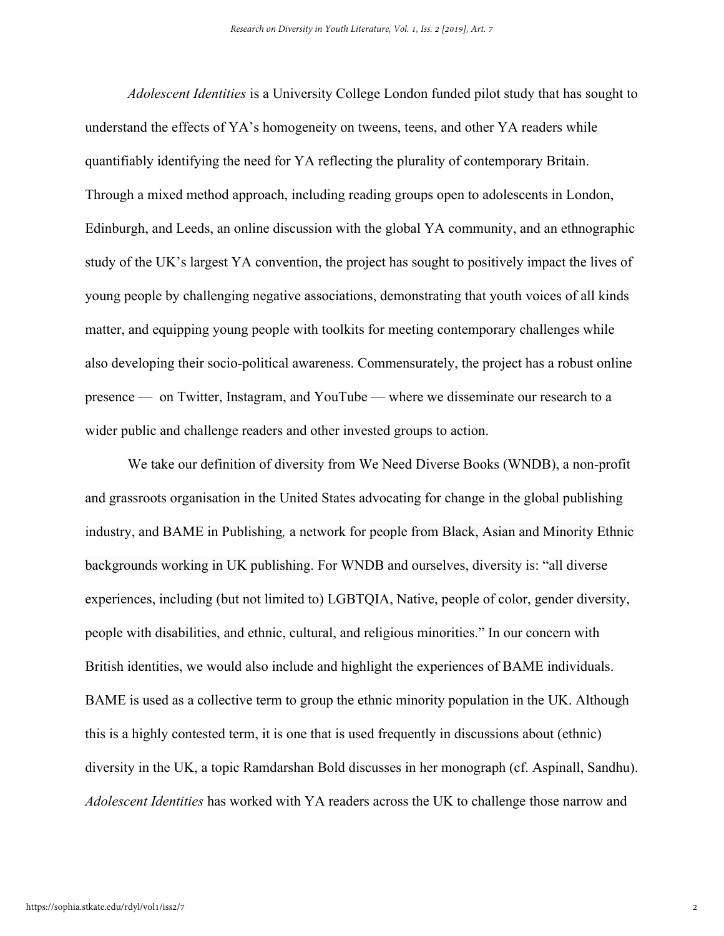*Adolescent Identities* is a University College London funded pilot study that has sought to understand the effects of YA's homogeneity on tweens, teens, and other YA readers while quantifiably identifying the need for YA reflecting the plurality of contemporary Britain. Through a mixed method approach, including reading groups open to adolescents in London, Edinburgh, and Leeds, an online discussion with the global YA community, and an ethnographic study of the UK's largest YA convention, the project has sought to positively impact the lives of young people by challenging negative associations, demonstrating that youth voices of all kinds matter, and equipping young people with toolkits for meeting contemporary challenges while also developing their socio-political awareness. Commensurately, the project has a robust online presence — on Twitter, Instagram, and YouTube — where we disseminate our research to a wider public and challenge readers and other invested groups to action.

We take our definition of diversity from We Need Diverse Books (WNDB), a non-profit and grassroots organisation in the United States advocating for change in the global publishing industry, and BAME in Publishing*,* a network for people from Black, Asian and Minority Ethnic backgrounds working in UK publishing. For WNDB and ourselves, diversity is: "all diverse experiences, including (but not limited to) LGBTQIA, Native, people of color, gender diversity, people with disabilities, and ethnic, cultural, and religious minorities." In our concern with British identities, we would also include and highlight the experiences of BAME individuals. BAME is used as a collective term to group the ethnic minority population in the UK. Although this is a highly contested term, it is one that is used frequently in discussions about (ethnic) diversity in the UK, a topic Ramdarshan Bold discusses in her monograph (cf. Aspinall, Sandhu). *Adolescent Identities* has worked with YA readers across the UK to challenge those narrow and

2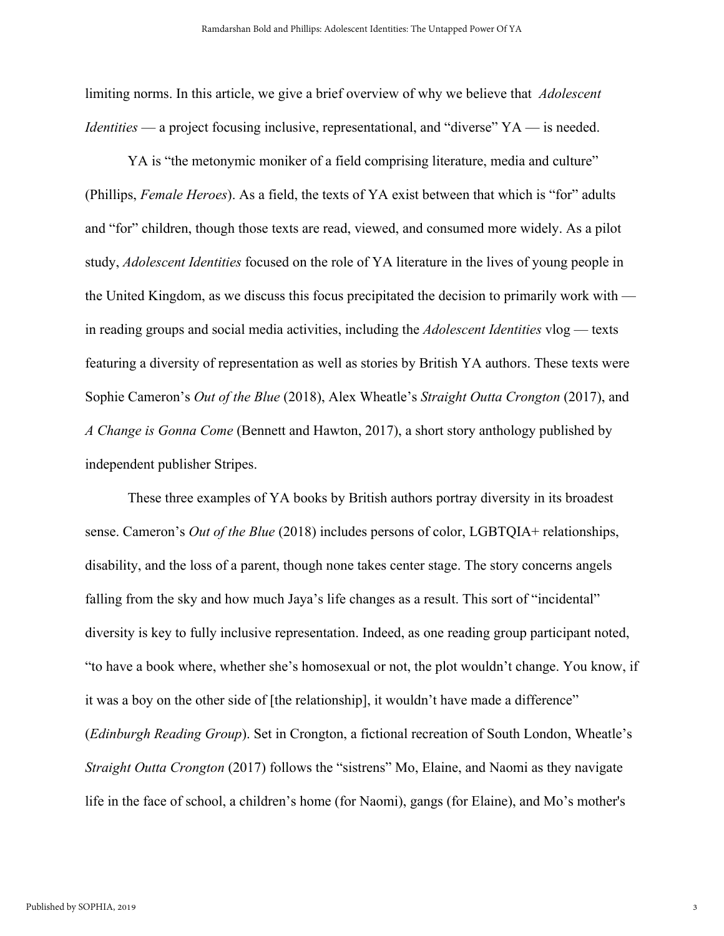limiting norms. In this article, we give a brief overview of why we believe that *Adolescent Identities* — a project focusing inclusive, representational, and "diverse" YA — is needed.

YA is "the metonymic moniker of a field comprising literature, media and culture" (Phillips, *Female Heroes*). As a field, the texts of YA exist between that which is "for" adults and "for" children, though those texts are read, viewed, and consumed more widely. As a pilot study, *Adolescent Identities* focused on the role of YA literature in the lives of young people in the United Kingdom, as we discuss this focus precipitated the decision to primarily work with in reading groups and social media activities, including the *Adolescent Identities* vlog — texts featuring a diversity of representation as well as stories by British YA authors. These texts were Sophie Cameron's *Out of the Blue* (2018), Alex Wheatle's *Straight Outta Crongton* (2017), and *A Change is Gonna Come* (Bennett and Hawton, 2017), a short story anthology published by independent publisher Stripes.

These three examples of YA books by British authors portray diversity in its broadest sense. Cameron's *Out of the Blue* (2018) includes persons of color, LGBTQIA+ relationships, disability, and the loss of a parent, though none takes center stage. The story concerns angels falling from the sky and how much Jaya's life changes as a result. This sort of "incidental" diversity is key to fully inclusive representation. Indeed, as one reading group participant noted, "to have a book where, whether she's homosexual or not, the plot wouldn't change. You know, if it was a boy on the other side of [the relationship], it wouldn't have made a difference" (*Edinburgh Reading Group*). Set in Crongton, a fictional recreation of South London, Wheatle's *Straight Outta Crongton* (2017) follows the "sistrens" Mo, Elaine, and Naomi as they navigate life in the face of school, a children's home (for Naomi), gangs (for Elaine), and Mo's mother's

3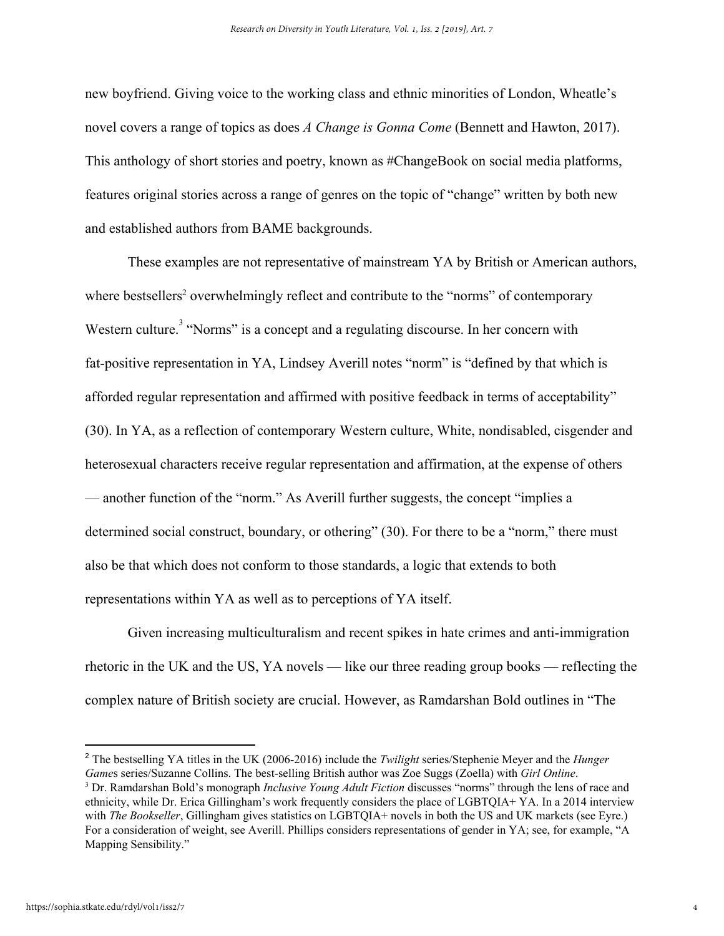new boyfriend. Giving voice to the working class and ethnic minorities of London, Wheatle's novel covers a range of topics as does *A Change is Gonna Come* (Bennett and Hawton, 2017). This anthology of short stories and poetry, known as #ChangeBook on social media platforms, features original stories across a range of genres on the topic of "change" written by both new and established authors from BAME backgrounds.

These examples are not representative of mainstream YA by British or American authors, where bestsellers<sup>2</sup> overwhelmingly reflect and contribute to the "norms" of contemporary Western culture.<sup>3</sup> "Norms" is a concept and a regulating discourse. In her concern with fat-positive representation in YA, Lindsey Averill notes "norm" is "defined by that which is afforded regular representation and affirmed with positive feedback in terms of acceptability" (30). In YA, as a reflection of contemporary Western culture, White, nondisabled, cisgender and heterosexual characters receive regular representation and affirmation, at the expense of others — another function of the "norm." As Averill further suggests, the concept "implies a determined social construct, boundary, or othering" (30). For there to be a "norm," there must also be that which does not conform to those standards, a logic that extends to both representations within YA as well as to perceptions of YA itself.

Given increasing multiculturalism and recent spikes in hate crimes and anti-immigration rhetoric in the UK and the US, YA novels — like our three reading group books — reflecting the complex nature of British society are crucial. However, as Ramdarshan Bold outlines in "The

<sup>2</sup> The bestselling YA titles in the UK (2006-2016) include the *Twilight* series/Stephenie Meyer and the *Hunger Game*s series/Suzanne Collins. The best-selling British author was Zoe Suggs (Zoella) with *Girl Online*.

<sup>3</sup> Dr. Ramdarshan Bold's monograph *Inclusive Young Adult Fiction* discusses "norms" through the lens of race and ethnicity, while Dr. Erica Gillingham's work frequently considers the place of LGBTQIA+ YA. In a 2014 interview with *The Bookseller*, Gillingham gives statistics on LGBTQIA+ novels in both the US and UK markets (see Eyre.) For a consideration of weight, see Averill. Phillips considers representations of gender in YA; see, for example, "A Mapping Sensibility."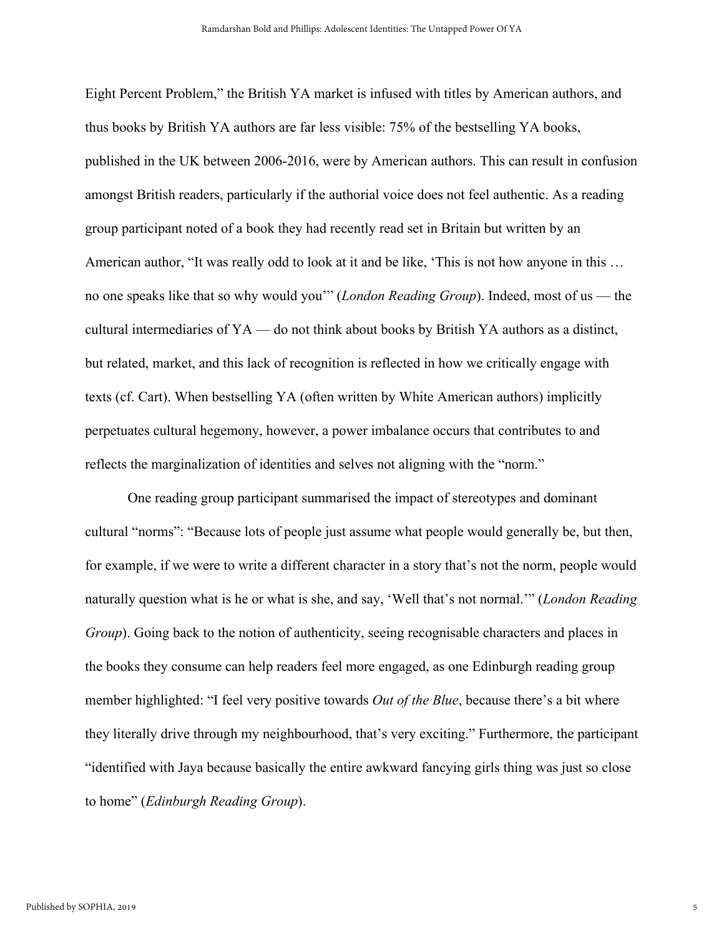Eight Percent Problem," the British YA market is infused with titles by American authors, and thus books by British YA authors are far less visible: 75% of the bestselling YA books, published in the UK between 2006-2016, were by American authors. This can result in confusion amongst British readers, particularly if the authorial voice does not feel authentic. As a reading group participant noted of a book they had recently read set in Britain but written by an American author, "It was really odd to look at it and be like, 'This is not how anyone in this … no one speaks like that so why would you'" (*London Reading Group*). Indeed, most of us — the cultural intermediaries of YA — do not think about books by British YA authors as a distinct, but related, market, and this lack of recognition is reflected in how we critically engage with texts (cf. Cart). When bestselling YA (often written by White American authors) implicitly perpetuates cultural hegemony, however, a power imbalance occurs that contributes to and reflects the marginalization of identities and selves not aligning with the "norm."

One reading group participant summarised the impact of stereotypes and dominant cultural "norms": "Because lots of people just assume what people would generally be, but then, for example, if we were to write a different character in a story that's not the norm, people would naturally question what is he or what is she, and say, 'Well that's not normal.'" (*London Reading Group*). Going back to the notion of authenticity, seeing recognisable characters and places in the books they consume can help readers feel more engaged, as one Edinburgh reading group member highlighted: "I feel very positive towards *Out of the Blue*, because there's a bit where they literally drive through my neighbourhood, that's very exciting." Furthermore, the participant "identified with Jaya because basically the entire awkward fancying girls thing was just so close to home" (*Edinburgh Reading Group*).

5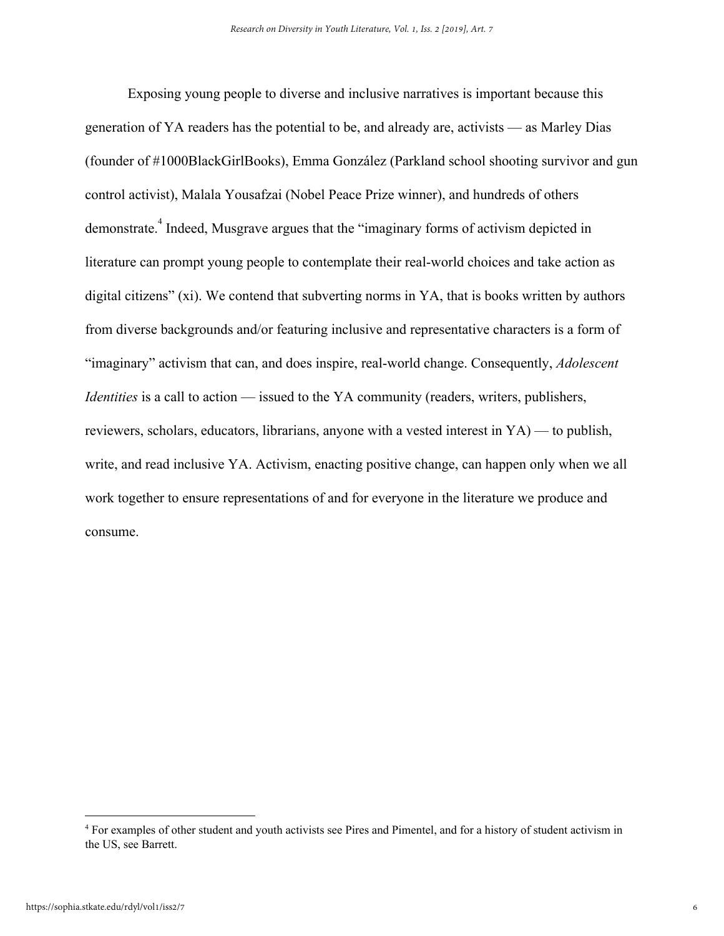Exposing young people to diverse and inclusive narratives is important because this generation of YA readers has the potential to be, and already are, activists — as Marley Dias (founder of #1000BlackGirlBooks), Emma González (Parkland school shooting survivor and gun control activist), Malala Yousafzai (Nobel Peace Prize winner), and hundreds of others demonstrate.<sup>4</sup> Indeed, Musgrave argues that the "imaginary forms of activism depicted in literature can prompt young people to contemplate their real-world choices and take action as digital citizens" (xi). We contend that subverting norms in YA, that is books written by authors from diverse backgrounds and/or featuring inclusive and representative characters is a form of "imaginary" activism that can, and does inspire, real-world change. Consequently, *Adolescent Identities* is a call to action — issued to the YA community (readers, writers, publishers, reviewers, scholars, educators, librarians, anyone with a vested interest in YA) — to publish, write, and read inclusive YA. Activism, enacting positive change, can happen only when we all work together to ensure representations of and for everyone in the literature we produce and consume.

<sup>4</sup> For examples of other student and youth activists see Pires and Pimentel, and for a history of student activism in the US, see Barrett.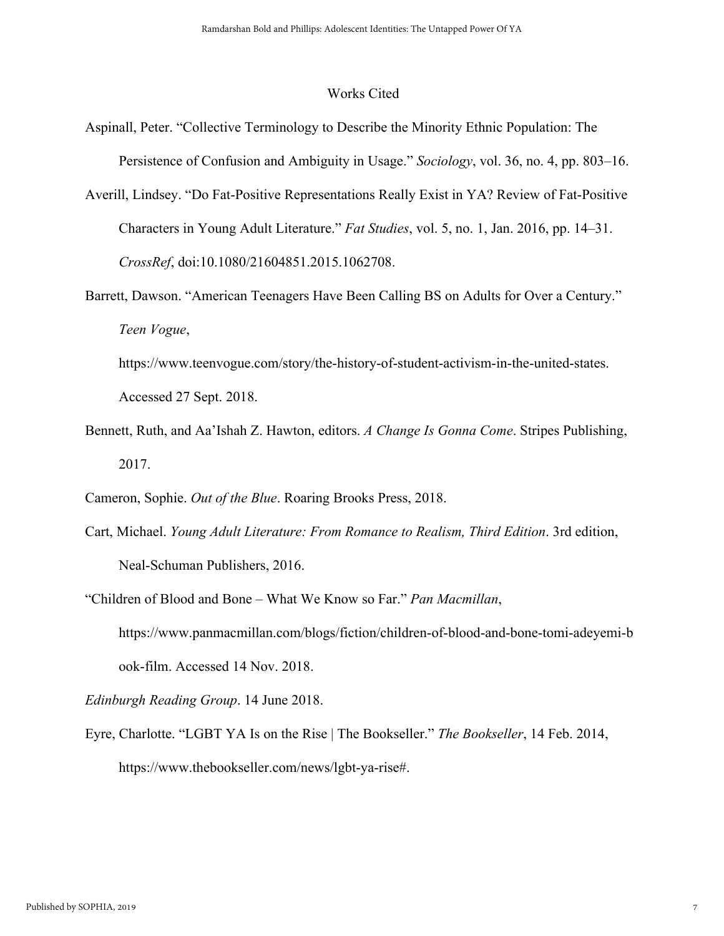## Works Cited

- Aspinall, Peter. "Collective Terminology to Describe the Minority Ethnic Population: The Persistence of Confusion and Ambiguity in Usage." *Sociology*, vol. 36, no. 4, pp. 803–16.
- Averill, Lindsey. "Do Fat-Positive Representations Really Exist in YA? Review of Fat-Positive Characters in Young Adult Literature." *Fat Studies*, vol. 5, no. 1, Jan. 2016, pp. 14–31. *CrossRef*, doi:10.1080/21604851.2015.1062708.
- Barrett, Dawson. "American Teenagers Have Been Calling BS on Adults for Over a Century." *Teen Vogue*,
	- https://www.teenvogue.com/story/the-history-of-student-activism-in-the-united-states. Accessed 27 Sept. 2018.
- Bennett, Ruth, and Aa'Ishah Z. Hawton, editors. *A Change Is Gonna Come*. Stripes Publishing, 2017.
- Cameron, Sophie. *Out of the Blue*. Roaring Brooks Press, 2018.
- Cart, Michael. *Young Adult Literature: From Romance to Realism, Third Edition*. 3rd edition, Neal-Schuman Publishers, 2016.
- "Children of Blood and Bone What We Know so Far." *Pan Macmillan*, https://www.panmacmillan.com/blogs/fiction/children-of-blood-and-bone-tomi-adeyemi-b ook-film. Accessed 14 Nov. 2018.

*Edinburgh Reading Group*. 14 June 2018.

Eyre, Charlotte. "LGBT YA Is on the Rise | The Bookseller." *The Bookseller*, 14 Feb. 2014, https://www.thebookseller.com/news/lgbt-ya-rise#.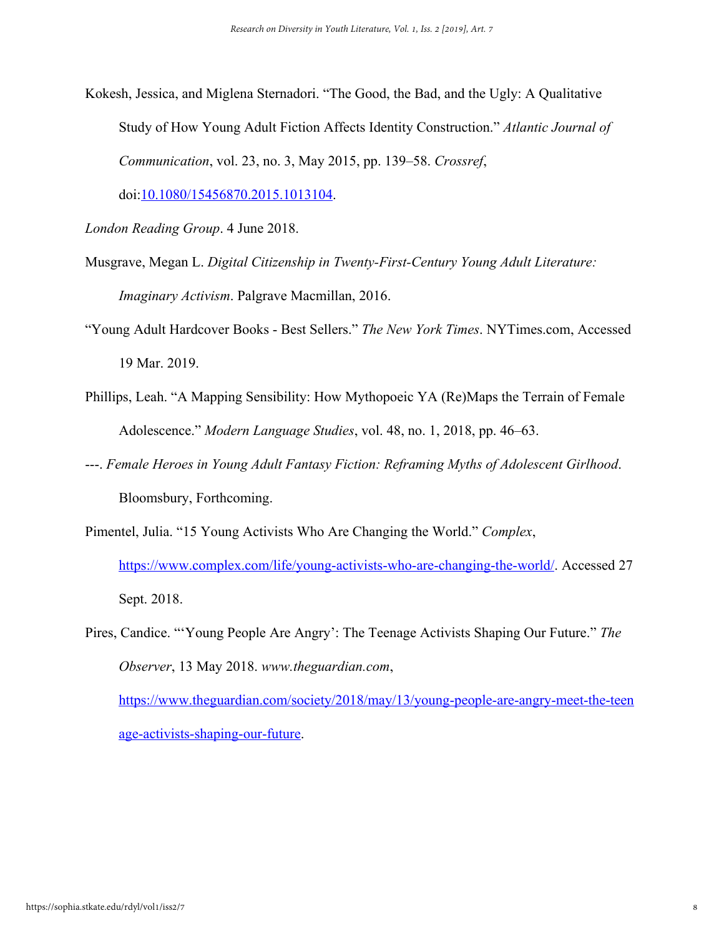Kokesh, Jessica, and Miglena Sternadori. "The Good, the Bad, and the Ugly: A Qualitative Study of How Young Adult Fiction Affects Identity Construction." *Atlantic Journal of Communication*, vol. 23, no. 3, May 2015, pp. 139–58. *Crossref*,

doi[:10.1080/15456870.2015.1013104](https://doi.org/10.1080/15456870.2015.1013104).

- *London Reading Group*. 4 June 2018.
- Musgrave, Megan L. *Digital Citizenship in Twenty-First-Century Young Adult Literature: Imaginary Activism*. Palgrave Macmillan, 2016.
- "Young Adult Hardcover Books Best Sellers." *The New York Times*. NYTimes.com, Accessed 19 Mar. 2019.
- Phillips, Leah. "A Mapping Sensibility: How Mythopoeic YA (Re)Maps the Terrain of Female Adolescence." *Modern Language Studies*, vol. 48, no. 1, 2018, pp. 46–63.
- ---. *Female Heroes in Young Adult Fantasy Fiction: Reframing Myths of Adolescent Girlhood*. Bloomsbury, Forthcoming.
- Pimentel, Julia. "15 Young Activists Who Are Changing the World." *Complex*, <https://www.complex.com/life/young-activists-who-are-changing-the-world/>. Accessed 27 Sept. 2018.
- Pires, Candice. "'Young People Are Angry': The Teenage Activists Shaping Our Future." *The Observer*, 13 May 2018. *www.theguardian.com*,

[https://www.theguardian.com/society/2018/may/13/young-people-are-angry-meet-the-teen](https://www.theguardian.com/society/2018/may/13/young-people-are-angry-meet-the-teenage-activists-shaping-our-future) [age-activists-shaping-our-future](https://www.theguardian.com/society/2018/may/13/young-people-are-angry-meet-the-teenage-activists-shaping-our-future).